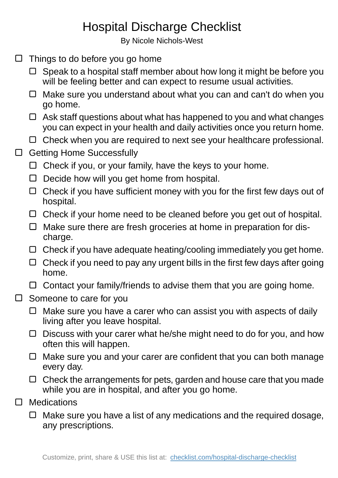## Hospital Discharge Checklist

By Nicole Nichols-West

- $\Box$  Things to do before you go home
	- $\Box$  Speak to a hospital staff member about how long it might be before you will be feeling better and can expect to resume usual activities.
	- $\Box$  Make sure you understand about what you can and can't do when you go home.
	- $\Box$  Ask staff questions about what has happened to you and what changes you can expect in your health and daily activities once you return home.
	- $\Box$  Check when you are required to next see your healthcare professional.
- □ Getting Home Successfully
	- $\Box$  Check if you, or your family, have the keys to your home.
	- $\Box$  Decide how will you get home from hospital.
	- $\Box$  Check if you have sufficient money with you for the first few days out of hospital.
	- $\Box$  Check if your home need to be cleaned before you get out of hospital.
	- $\Box$  Make sure there are fresh groceries at home in preparation for discharge.
	- $\Box$  Check if you have adequate heating/cooling immediately you get home.
	- $\Box$  Check if you need to pay any urgent bills in the first few days after going home.
	- $\Box$  Contact your family/friends to advise them that you are going home.
- $\Box$  Someone to care for you
	- $\Box$  Make sure you have a carer who can assist you with aspects of daily living after you leave hospital.
	- □ Discuss with your carer what he/she might need to do for you, and how often this will happen.
	- $\Box$  Make sure you and your carer are confident that you can both manage every day.
	- $\Box$  Check the arrangements for pets, garden and house care that you made while you are in hospital, and after you go home.
- **Medications**  $\Box$ 
	- $\Box$  Make sure you have a list of any medications and the required dosage, any prescriptions.